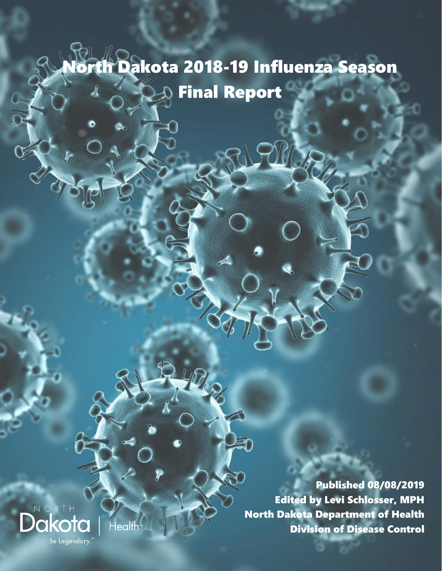# th Dakota 2018-19 Influenza Season Final Report

Published 08/08/2019 Edited by Levi Schlosser, MPH North Dakota Department of Health Division of Disease Control



Health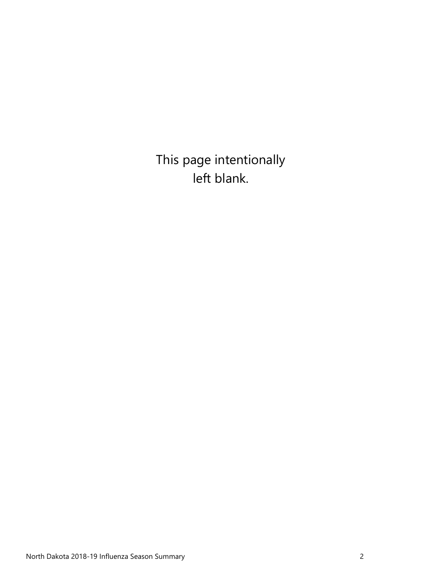This page intentionally left blank.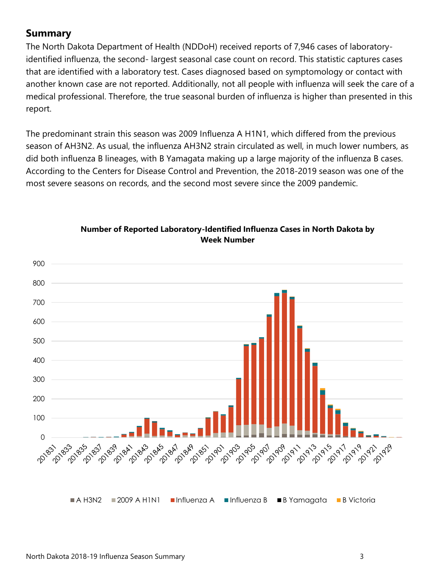# **Summary**

The North Dakota Department of Health (NDDoH) received reports of 7,946 cases of laboratoryidentified influenza, the second- largest seasonal case count on record. This statistic captures cases that are identified with a laboratory test. Cases diagnosed based on symptomology or contact with another known case are not reported. Additionally, not all people with influenza will seek the care of a medical professional. Therefore, the true seasonal burden of influenza is higher than presented in this report.

The predominant strain this season was 2009 Influenza A H1N1, which differed from the previous season of AH3N2. As usual, the influenza AH3N2 strain circulated as well, in much lower numbers, as did both influenza B lineages, with B Yamagata making up a large majority of the influenza B cases. According to the Centers for Disease Control and Prevention, the 2018-2019 season was one of the most severe seasons on records, and the second most severe since the 2009 pandemic.



**Number of Reported Laboratory-Identified Influenza Cases in North Dakota by Week Number**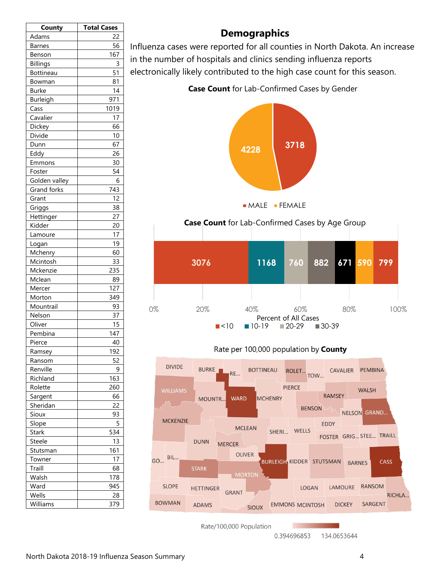| County              | <b>Total Cases</b> |
|---------------------|--------------------|
| Adams               | 22                 |
| <b>Barnes</b>       | 56                 |
| Benson              | 167                |
| <b>Billings</b>     | 3                  |
| Bottineau           | 51                 |
| Bowman              | 81                 |
| <b>Burke</b>        | 14                 |
| Burleigh            | 971                |
| Cass                | 1019               |
| Cavalier            | 17                 |
| Dickey              | 66                 |
| Divide              | 10                 |
| Dunn                | 67                 |
| Eddy                | 26                 |
| Emmons              | 30                 |
| Foster              | 54                 |
| Golden valley       | 6                  |
| Grand forks         | 743                |
| Grant               | 12                 |
|                     | 38                 |
| Griggs              |                    |
| Hettinger<br>Kidder | 27                 |
|                     | 20                 |
| Lamoure             | 17                 |
| Logan               | 19                 |
| Mchenry             | 60                 |
| Mcintosh            | 33                 |
| Mckenzie            | 235                |
| Mclean              | 89                 |
| Mercer              | 127                |
| Morton              | 349                |
| Mountrail           | 93                 |
| Nelson              | 37                 |
| Oliver              | 15                 |
| Pembina             | 147                |
| Pierce              | 40                 |
| Ramsey              | 192                |
| Ransom              | 52                 |
| Renville            | 9                  |
| Richland            | 163                |
| Rolette             | 260                |
| Sargent             | 66                 |
| Sheridan            | 22                 |
| Sioux               | 93                 |
| Slope               | 5                  |
| Stark               | 534                |
| Steele              | 13                 |
| Stutsman            | 161                |
| Towner              | 17                 |
| Traill              | 68                 |
| Walsh               | 178                |
| Ward                | 945                |
| Wells               | 28                 |
| Williams            | 379                |

# **Demographics**

Influenza cases were reported for all counties in North Dakota. An increase in the number of hospitals and clinics sending influenza reports electronically likely contributed to the high case count for this season.

#### **Case Count** for Lab-Confirmed Cases by Gender



MALE FEMALE





#### Rate per 100,000 population by County



Rate/100,000 Population

0.394696853 134.0653644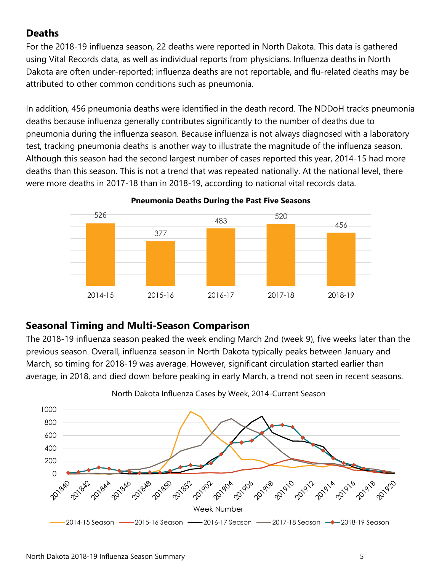# **Deaths**

For the 2018-19 influenza season, 22 deaths were reported in North Dakota. This data is gathered using Vital Records data, as well as individual reports from physicians. Influenza deaths in North Dakota are often under-reported; influenza deaths are not reportable, and flu-related deaths may be attributed to other common conditions such as pneumonia.

In addition, 456 pneumonia deaths were identified in the death record. The NDDoH tracks pneumonia deaths because influenza generally contributes significantly to the number of deaths due to pneumonia during the influenza season. Because influenza is not always diagnosed with a laboratory test, tracking pneumonia deaths is another way to illustrate the magnitude of the influenza season. Although this season had the second largest number of cases reported this year, 2014-15 had more deaths than this season. This is not a trend that was repeated nationally. At the national level, there were more deaths in 2017-18 than in 2018-19, according to national vital records data.



**Pneumonia Deaths During the Past Five Seasons**

### **Seasonal Timing and Multi-Season Comparison**

The 2018-19 influenza season peaked the week ending March 2nd (week 9), five weeks later than the previous season. Overall, influenza season in North Dakota typically peaks between January and March, so timing for 2018-19 was average. However, significant circulation started earlier than average, in 2018, and died down before peaking in early March, a trend not seen in recent seasons.



North Dakota Influenza Cases by Week, 2014-Current Season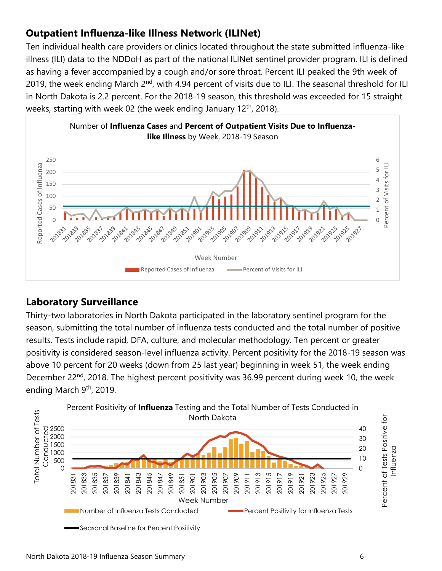# **Outpatient Influenza-like Illness Network (ILINet)**

Ten individual health care providers or clinics located throughout the state submitted influenza-like illness (ILI) data to the NDDoH as part of the national ILINet sentinel provider program. ILI is defined as having a fever accompanied by a cough and/or sore throat. Percent ILI peaked the 9th week of 2019, the week ending March  $2<sup>nd</sup>$ , with 4.94 percent of visits due to ILI. The seasonal threshold for ILI in North Dakota is 2.2 percent. For the 2018-19 season, this threshold was exceeded for 15 straight weeks, starting with week 02 (the week ending January 12<sup>th</sup>, 2018).



# **Laboratory Surveillance**

Thirty-two laboratories in North Dakota participated in the laboratory sentinel program for the season, submitting the total number of influenza tests conducted and the total number of positive results. Tests include rapid, DFA, culture, and molecular methodology. Ten percent or greater positivity is considered season-level influenza activity. Percent positivity for the 2018-19 season was above 10 percent for 20 weeks (down from 25 last year) beginning in week 51, the week ending December 22<sup>nd</sup>, 2018. The highest percent positivity was 36.99 percent during week 10, the week ending March 9<sup>th</sup>, 2019.

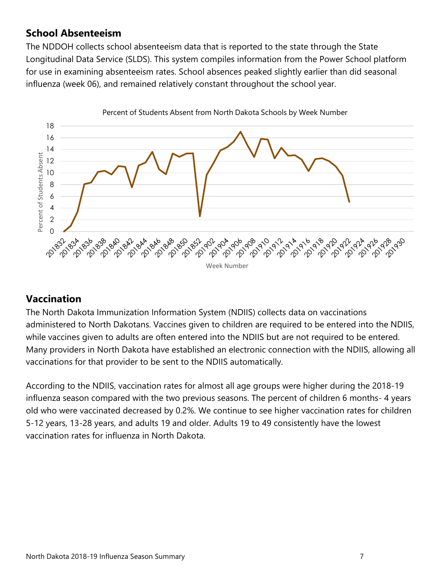## **School Absenteeism**

The NDDOH collects school absenteeism data that is reported to the state through the State Longitudinal Data Service (SLDS). This system compiles information from the Power School platform for use in examining absenteeism rates. School absences peaked slightly earlier than did seasonal influenza (week 06), and remained relatively constant throughout the school year.



#### Percent of Students Absent from North Dakota Schools by Week Number

#### **Vaccination**

The North Dakota Immunization Information System (NDIIS) collects data on vaccinations administered to North Dakotans. Vaccines given to children are required to be entered into the NDIIS, while vaccines given to adults are often entered into the NDIIS but are not required to be entered. Many providers in North Dakota have established an electronic connection with the NDIIS, allowing all vaccinations for that provider to be sent to the NDIIS automatically.

According to the NDIIS, vaccination rates for almost all age groups were higher during the 2018-19 influenza season compared with the two previous seasons. The percent of children 6 months- 4 years old who were vaccinated decreased by 0.2%. We continue to see higher vaccination rates for children 5-12 years, 13-28 years, and adults 19 and older. Adults 19 to 49 consistently have the lowest vaccination rates for influenza in North Dakota.